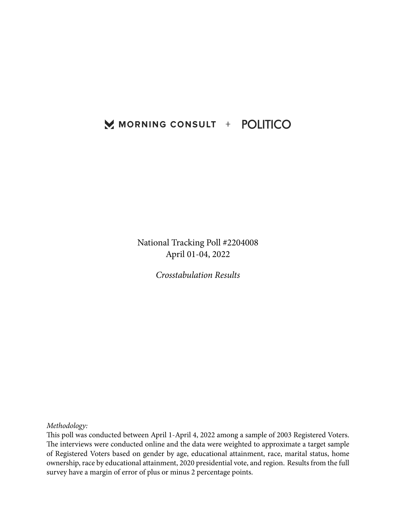## MORNING CONSULT + POLITICO

National Tracking Poll #2204008 April 01-04, 2022

*Crosstabulation Results*

*Methodology:*

This poll was conducted between April 1-April 4, 2022 among a sample of 2003 Registered Voters. The interviews were conducted online and the data were weighted to approximate a target sample of Registered Voters based on gender by age, educational attainment, race, marital status, home ownership, race by educational attainment, 2020 presidential vote, and region. Results from the full survey have a margin of error of plus or minus 2 percentage points.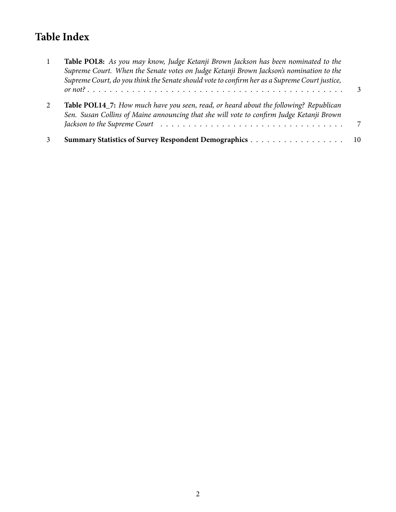# **Table Index**

| Table POL8: As you may know, Judge Ketanji Brown Jackson has been nominated to the<br>Supreme Court. When the Senate votes on Judge Ketanji Brown Jackson's nomination to the<br>Supreme Court, do you think the Senate should vote to confirm her as a Supreme Court justice, |              |
|--------------------------------------------------------------------------------------------------------------------------------------------------------------------------------------------------------------------------------------------------------------------------------|--------------|
|                                                                                                                                                                                                                                                                                | $\mathbf{R}$ |
| <b>Table POL14_7:</b> How much have you seen, read, or heard about the following? Republican<br>Sen. Susan Collins of Maine announcing that she will vote to confirm Judge Ketanji Brown                                                                                       |              |
|                                                                                                                                                                                                                                                                                |              |
|                                                                                                                                                                                                                                                                                | - 10         |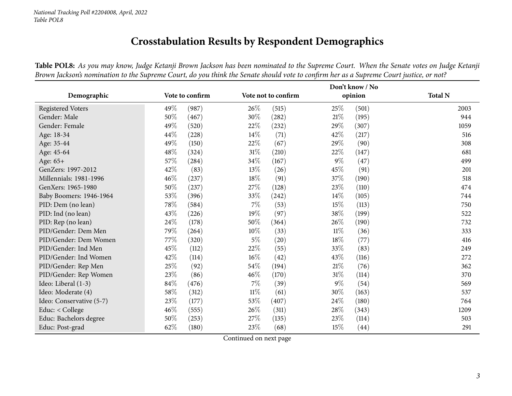## **Crosstabulation Results by Respondent Demographics**

Table POL8: As you may know, Judge Ketanji Brown Jackson has been nominated to the Supreme Court. When the Senate votes on Judge Ketanji Brown Jackson's nomination to the Supreme Court, do you think the Senate should vote to confirm her as a Supreme Court justice, or not?

<span id="page-2-0"></span>

|                          |                             |                     | Don't know / No |                |
|--------------------------|-----------------------------|---------------------|-----------------|----------------|
| Demographic              | Vote to confirm             | Vote not to confirm | opinion         | <b>Total N</b> |
| Registered Voters        | 49%<br>(987)                | 26\%<br>(515)       | 25%<br>(501)    | 2003           |
| Gender: Male             | 50%<br>(467)                | 30%<br>(282)        | $21\%$<br>(195) | 944            |
| Gender: Female           | 49%<br>(520)                | 22%<br>(232)        | 29%<br>(307)    | 1059           |
| Age: 18-34               | 44\%<br>(228)               | 14%<br>(71)         | 42%<br>(217)    | 516            |
| Age: 35-44               | 49%<br>(150)                | 22\%<br>(67)        | 29%<br>(90)     | 308            |
| Age: 45-64               | 48\%<br>(324)               | 31%<br>(210)        | 22%<br>(147)    | 681            |
| Age: $65+$               | 57\%<br>$\left( 284\right)$ | 34%<br>(167)        | $9\%$<br>(47)   | 499            |
| GenZers: 1997-2012       | 42\%<br>(83)                | 13%<br>(26)         | 45%<br>(91)     | 201            |
| Millennials: 1981-1996   | 46\%<br>(237)               | 18%<br>(91)         | 37%<br>(190)    | 518            |
| GenXers: 1965-1980       | 50%<br>(237)                | 27%<br>(128)        | 23%<br>(110)    | 474            |
| Baby Boomers: 1946-1964  | 53%<br>(396)                | 33%<br>(242)        | 14\%<br>(105)   | 744            |
| PID: Dem (no lean)       | 78\%<br>(584)               | 7%<br>(53)          | 15%<br>(113)    | 750            |
| PID: Ind (no lean)       | 43\%<br>(226)               | 19%<br>(97)         | 38%<br>(199)    | 522            |
| PID: Rep (no lean)       | 24\%<br>(178)               | 50%<br>(364)        | 26\%<br>(190)   | 732            |
| PID/Gender: Dem Men      | 79%<br>(264)                | 10%<br>(33)         | $11\%$<br>(36)  | 333            |
| PID/Gender: Dem Women    | 77\%<br>(320)               | $5\%$<br>(20)       | $18\%$<br>(77)  | 416            |
| PID/Gender: Ind Men      | 45%<br>(112)                | 22%<br>(55)         | 33%<br>(83)     | 249            |
| PID/Gender: Ind Women    | 42\%<br>(114)               | 16%<br>(42)         | 43%<br>(116)    | 272            |
| PID/Gender: Rep Men      | 25%<br>(92)                 | 54\%<br>(194)       | 21%<br>(76)     | 362            |
| PID/Gender: Rep Women    | 23\%<br>(86)                | 46%<br>(170)        | $31\%$<br>(114) | 370            |
| Ideo: Liberal (1-3)      | 84\%<br>(476)               | 7%<br>(39)          | $9\%$<br>(54)   | 569            |
| Ideo: Moderate (4)       | 58\%<br>(312)               | $11\%$<br>(61)      | 30%<br>(163)    | 537            |
| Ideo: Conservative (5-7) | 23\%<br>(177)               | 53\%<br>(407)       | 24\%<br>(180)   | 764            |
| Educ: < College          | $46\%$<br>(555)             | $26\%$<br>(311)     | 28\%<br>(343)   | 1209           |
| Educ: Bachelors degree   | 50%<br>(253)                | 27%<br>(135)        | 23\%<br>(114)   | 503            |
| Educ: Post-grad          | 62\%<br>(180)               | 23%<br>(68)         | 15%<br>(44)     | 291            |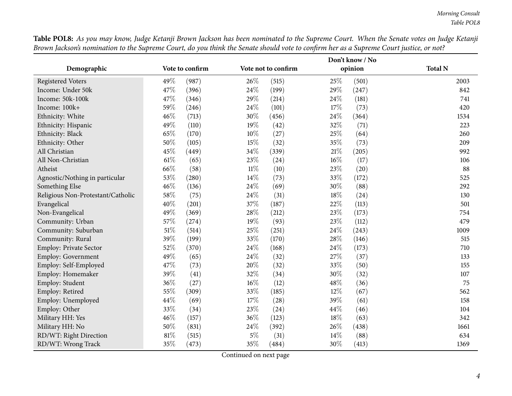|                                   |                 |                     | Don't know / No |                |
|-----------------------------------|-----------------|---------------------|-----------------|----------------|
| Demographic                       | Vote to confirm | Vote not to confirm | opinion         | <b>Total N</b> |
| Registered Voters                 | 49%<br>(987)    | 26%<br>(515)        | 25%<br>(501)    | 2003           |
| Income: Under 50k                 | 47%<br>(396)    | 24%<br>(199)        | 29%<br>(247)    | 842            |
| Income: 50k-100k                  | 47\%<br>(346)   | 29%<br>(214)        | 24%<br>(181)    | 741            |
| Income: 100k+                     | 59%<br>(246)    | 24%<br>(101)        | 17%<br>(73)     | 420            |
| Ethnicity: White                  | 46%<br>(713)    | 30%<br>(456)        | 24%<br>(364)    | 1534           |
| Ethnicity: Hispanic               | 49%<br>(110)    | 19%<br>(42)         | 32%<br>(71)     | 223            |
| Ethnicity: Black                  | 65%<br>(170)    | 10%<br>(27)         | $25\%$<br>(64)  | 260            |
| Ethnicity: Other                  | 50%<br>(105)    | 15%<br>(32)         | 35%<br>(73)     | 209            |
| All Christian                     | 45%<br>(449)    | 34%<br>(339)        | 21%<br>(205)    | 992            |
| All Non-Christian                 | 61\%<br>(65)    | 23%<br>(24)         | 16%<br>(17)     | 106            |
| Atheist                           | 66%<br>(58)     | $11\%$<br>(10)      | 23%<br>(20)     | 88             |
| Agnostic/Nothing in particular    | 53%<br>(280)    | 14%<br>(73)         | 33%<br>(172)    | 525            |
| Something Else                    | 46%<br>(136)    | 24%<br>(69)         | 30%<br>(88)     | 292            |
| Religious Non-Protestant/Catholic | 58%<br>(75)     | 24%<br>(31)         | 18%<br>(24)     | 130            |
| Evangelical                       | 40%<br>(201)    | 37%<br>(187)        | 22%<br>(113)    | 501            |
| Non-Evangelical                   | 49%<br>(369)    | 28%<br>(212)        | 23%<br>(173)    | 754            |
| Community: Urban                  | 57%<br>(274)    | 19%<br>(93)         | 23%<br>(112)    | 479            |
| Community: Suburban               | $51\%$<br>(514) | 25%<br>(251)        | 24%<br>(243)    | 1009           |
| Community: Rural                  | 39%<br>(199)    | 33%<br>(170)        | 28%<br>(146)    | 515            |
| <b>Employ: Private Sector</b>     | 52%<br>(370)    | 24%<br>(168)        | 24%<br>(173)    | 710            |
| <b>Employ: Government</b>         | 49%<br>(65)     | 24%<br>(32)         | 27%<br>(37)     | 133            |
| Employ: Self-Employed             | 47%<br>(73)     | 20%<br>(32)         | 33%<br>(50)     | 155            |
| Employ: Homemaker                 | 39%<br>(41)     | 32%<br>(34)         | 30%<br>(32)     | 107            |
| Employ: Student                   | 36%<br>(27)     | 16%<br>(12)         | 48%<br>(36)     | 75             |
| Employ: Retired                   | 55%<br>(309)    | 33%<br>(185)        | 12%<br>(67)     | 562            |
| Employ: Unemployed                | 44\%<br>(69)    | 17%<br>(28)         | 39%<br>(61)     | 158            |
| Employ: Other                     | 33%<br>(34)     | 23%<br>(24)         | 44%<br>(46)     | 104            |
| Military HH: Yes                  | 46%<br>(157)    | 36%<br>(123)        | 18%<br>(63)     | 342            |
| Military HH: No                   | 50%<br>(831)    | 24%<br>(392)        | 26%<br>(438)    | 1661           |
| RD/WT: Right Direction            | $81\%$<br>(515) | $5\%$<br>(31)       | 14%<br>(88)     | 634            |
| RD/WT: Wrong Track                | 35%<br>(473)    | 35%<br>(484)        | 30%<br>(413)    | 1369           |

Table POL8: As you may know, Judge Ketanji Brown Jackson has been nominated to the Supreme Court. When the Senate votes on Judge Ketanji Brown Jackson's nomination to the Supreme Court, do you think the Senate should vote to confirm her as a Supreme Court justice, or not?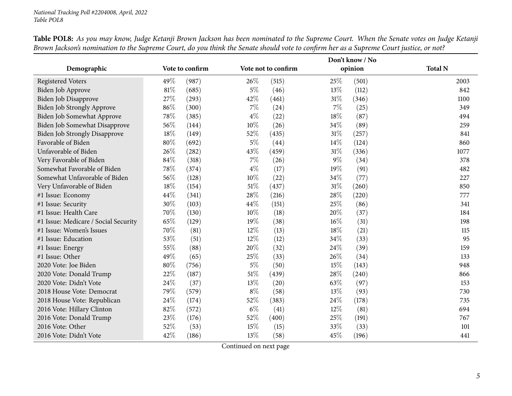|                                      |                 |                     | Don't know / No |                |
|--------------------------------------|-----------------|---------------------|-----------------|----------------|
| Demographic                          | Vote to confirm | Vote not to confirm | opinion         | <b>Total N</b> |
| <b>Registered Voters</b>             | 49%<br>(987)    | 26%<br>(515)        | 25%<br>(501)    | 2003           |
| Biden Job Approve                    | 81\%<br>(685)   | $5\%$<br>(46)       | 13%<br>(112)    | 842            |
| Biden Job Disapprove                 | 27\%<br>(293)   | $42\%$<br>(461)     | 31%<br>(346)    | 1100           |
| <b>Biden Job Strongly Approve</b>    | 86%<br>(300)    | 7%<br>(24)          | 7%<br>(25)      | 349            |
| Biden Job Somewhat Approve           | 78%<br>(385)    | $4\%$<br>(22)       | 18%<br>(87)     | 494            |
| Biden Job Somewhat Disapprove        | 56\%<br>(144)   | $10\%$<br>(26)      | 34\%<br>(89)    | 259            |
| <b>Biden Job Strongly Disapprove</b> | 18%<br>(149)    | 52%<br>(435)        | 31%<br>(257)    | 841            |
| Favorable of Biden                   | 80%<br>(692)    | $5\%$<br>(44)       | 14\%<br>(124)   | 860            |
| Unfavorable of Biden                 | 26\%<br>(282)   | 43%<br>(459)        | 31%<br>(336)    | 1077           |
| Very Favorable of Biden              | 84%<br>(318)    | 7%<br>(26)          | $9\%$<br>(34)   | 378            |
| Somewhat Favorable of Biden          | 78%<br>(374)    | $4\%$<br>(17)       | 19%<br>(91)     | 482            |
| Somewhat Unfavorable of Biden        | 56%<br>(128)    | 10%<br>(22)         | 34%<br>(77)     | 227            |
| Very Unfavorable of Biden            | 18%<br>(154)    | 51%<br>(437)        | 31%<br>(260)    | 850            |
| #1 Issue: Economy                    | 44\%<br>(341)   | 28%<br>(216)        | 28%<br>(220)    | 777            |
| #1 Issue: Security                   | 30%<br>(103)    | 44%<br>(151)        | 25%<br>(86)     | 341            |
| #1 Issue: Health Care                | 70%<br>(130)    | 10%<br>(18)         | 20%<br>(37)     | 184            |
| #1 Issue: Medicare / Social Security | 65%<br>(129)    | 19%<br>(38)         | 16%<br>(31)     | 198            |
| #1 Issue: Women's Issues             | 70%<br>(81)     | 12%<br>(13)         | 18%<br>(21)     | 115            |
| #1 Issue: Education                  | 53%<br>(51)     | 12%<br>(12)         | 34%<br>(33)     | 95             |
| #1 Issue: Energy                     | 55%<br>(88)     | 20%<br>(32)         | 24%<br>(39)     | 159            |
| #1 Issue: Other                      | 49%<br>(65)     | 25%<br>(33)         | 26%<br>(34)     | 133            |
| 2020 Vote: Joe Biden                 | 80%<br>(756)    | $5\%$<br>(50)       | 15%<br>(143)    | 948            |
| 2020 Vote: Donald Trump              | 22%<br>(187)    | 51%<br>(439)        | 28%<br>(240)    | 866            |
| 2020 Vote: Didn't Vote               | 24\%<br>(37)    | 13%<br>(20)         | 63%<br>(97)     | 153            |
| 2018 House Vote: Democrat            | 79%<br>(579)    | $8\%$<br>(58)       | 13%<br>(93)     | 730            |
| 2018 House Vote: Republican          | 24%<br>(174)    | 52%<br>(383)        | 24%<br>(178)    | 735            |
| 2016 Vote: Hillary Clinton           | 82%<br>(572)    | $6\%$<br>(41)       | 12%<br>(81)     | 694            |
| 2016 Vote: Donald Trump              | 23%<br>(176)    | 52%<br>(400)        | 25%<br>(191)    | 767            |
| 2016 Vote: Other                     | 52%<br>(53)     | 15%<br>(15)         | 33%<br>(33)     | 101            |
| 2016 Vote: Didn't Vote               | 42%<br>(186)    | 13%<br>(58)         | 45%<br>(196)    | 441            |

Table POL8: As you may know, Judge Ketanji Brown Jackson has been nominated to the Supreme Court. When the Senate votes on Judge Ketanji Brown Jackson's nomination to the Supreme Court, do you think the Senate should vote to confirm her as a Supreme Court justice, or not?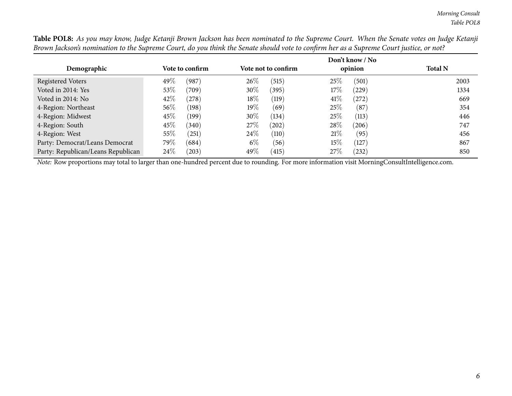|                                    |        |                 |        |                     |     | Don't know / No |                |
|------------------------------------|--------|-----------------|--------|---------------------|-----|-----------------|----------------|
| Demographic                        |        | Vote to confirm |        | Vote not to confirm |     | opinion         | <b>Total N</b> |
| Registered Voters                  | 49\%   | (987)           | 26%    | (515)               | 25% | (501)           | 2003           |
| Voted in 2014: Yes                 | 53\%   | (709)           | $30\%$ | (395)               | 17% | (229)           | 1334           |
| Voted in 2014: No                  | 42\%   | (278)           | 18\%   | (119)               | 41% | (272)           | 669            |
| 4-Region: Northeast                | $56\%$ | (198)           | 19%    | (69)                | 25% | (87)            | 354            |
| 4-Region: Midwest                  | 45%    | (199)           | 30%    | (134)               | 25% | (113)           | 446            |
| 4-Region: South                    | 45%    | (340)           | 27%    | (202)               | 28% | (206)           | 747            |
| 4-Region: West                     | 55%    | (251)           | 24\%   | (110)               | 21% | (95)            | 456            |
| Party: Democrat/Leans Democrat     | 79\%   | (684)           | $6\%$  | (56)                | 15% | (127)           | 867            |
| Party: Republican/Leans Republican | 24\%   | (203)           | 49\%   | (415)               | 27% | (232)           | 850            |

Table POL8: As you may know, Judge Ketanji Brown Jackson has been nominated to the Supreme Court. When the Senate votes on Judge Ketanji Brown Jackson's nomination to the Supreme Court, do you think the Senate should vote to confirm her as a Supreme Court justice, or not?

*Note:* Row proportions may total to larger than one-hundred percen<sup>t</sup> due to rounding. For more information visit [MorningConsultIntelligence.com](https://morningconsultintelligence.com).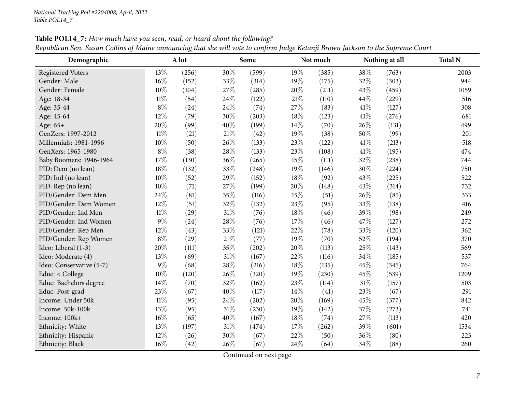<span id="page-6-0"></span>

| Demographic              |        | ပ<br>A lot |        | Some  |        | Not much |        | Nothing at all | <b>Total N</b> |
|--------------------------|--------|------------|--------|-------|--------|----------|--------|----------------|----------------|
| <b>Registered Voters</b> | 13%    | (256)      | 30%    | (599) | 19%    | (385)    | 38%    | (763)          | 2003           |
| Gender: Male             | $16\%$ | (152)      | 33%    | (314) | 19%    | (175)    | 32%    | (303)          | 944            |
| Gender: Female           | 10%    | (104)      | 27%    | (285) | 20%    | (211)    | 43%    | (459)          | 1059           |
| Age: 18-34               | $11\%$ | (54)       | 24%    | (122) | $21\%$ | (110)    | 44%    | (229)          | 516            |
| Age: 35-44               | $8\%$  | (24)       | 24\%   | (74)  | 27%    | (83)     | $41\%$ | (127)          | 308            |
| Age: 45-64               | 12%    | (79)       | 30%    | (203) | 18%    | (123)    | 41\%   | (276)          | 681            |
| Age: 65+                 | 20%    | (99)       | 40%    | (199) | 14%    | (70)     | 26%    | (131)          | 499            |
| GenZers: 1997-2012       | $11\%$ | (21)       | $21\%$ | (42)  | 19%    | (38)     | 50%    | (99)           | 201            |
| Millennials: 1981-1996   | $10\%$ | (50)       | 26%    | (133) | 23%    | (122)    | 41\%   | (213)          | 518            |
| GenXers: 1965-1980       | $8\%$  | (38)       | 28%    | (133) | 23%    | (108)    | $41\%$ | (195)          | 474            |
| Baby Boomers: 1946-1964  | 17%    | (130)      | 36%    | (265) | 15%    | (111)    | 32%    | (238)          | 744            |
| PID: Dem (no lean)       | 18%    | (132)      | 33%    | (248) | 19%    | (146)    | 30%    | (224)          | 750            |
| PID: Ind (no lean)       | 10%    | (52)       | 29%    | (152) | 18%    | (92)     | 43%    | (225)          | 522            |
| PID: Rep (no lean)       | 10%    | (71)       | 27%    | (199) | 20%    | (148)    | 43%    | (314)          | 732            |
| PID/Gender: Dem Men      | 24\%   | (81)       | 35%    | (116) | 15%    | (51)     | 26%    | (85)           | 333            |
| PID/Gender: Dem Women    | 12%    | (51)       | 32%    | (132) | 23%    | (95)     | 33%    | (138)          | 416            |
| PID/Gender: Ind Men      | $11\%$ | (29)       | $31\%$ | (76)  | 18%    | (46)     | 39%    | (98)           | 249            |
| PID/Gender: Ind Women    | $9\%$  | (24)       | 28%    | (76)  | 17%    | (46)     | 47%    | (127)          | 272            |
| PID/Gender: Rep Men      | 12%    | (43)       | 33%    | (121) | 22%    | (78)     | 33%    | (120)          | 362            |
| PID/Gender: Rep Women    | $8\%$  | (29)       | $21\%$ | (77)  | 19%    | (70)     | 52%    | (194)          | 370            |
| Ideo: Liberal (1-3)      | 20%    | (111)      | 35%    | (202) | 20%    | (113)    | 25%    | (143)          | 569            |
| Ideo: Moderate (4)       | 13%    | (69)       | $31\%$ | (167) | 22%    | (116)    | 34%    | (185)          | 537            |
| Ideo: Conservative (5-7) | $9\%$  | (68)       | 28%    | (216) | 18%    | (135)    | 45%    | (345)          | 764            |
| Educ: < College          | 10%    | (120)      | 26%    | (320) | 19%    | (230)    | 45%    | (539)          | 1209           |
| Educ: Bachelors degree   | $14\%$ | (70)       | 32%    | (162) | 23%    | (114)    | $31\%$ | (157)          | 503            |
| Educ: Post-grad          | 23%    | (67)       | 40%    | (117) | 14%    | (41)     | 23%    | (67)           | 291            |
| Income: Under 50k        | $11\%$ | (95)       | 24%    | (202) | 20%    | (169)    | 45%    | (377)          | 842            |
| Income: 50k-100k         | 13%    | (95)       | 31%    | (230) | 19%    | (142)    | 37%    | (273)          | 741            |
| Income: 100k+            | $16\%$ | (65)       | 40%    | (167) | 18%    | (74)     | 27%    | (113)          | 420            |
| Ethnicity: White         | 13%    | (197)      | $31\%$ | (474) | 17%    | (262)    | 39%    | (601)          | 1534           |
| Ethnicity: Hispanic      | 12%    | (26)       | 30%    | (67)  | 22%    | (50)     | 36%    | (80)           | 223            |
| Ethnicity: Black         | 16%    | (42)       | 26%    | (67)  | 24%    | (64)     | 34%    | (88)           | 260            |

Table POL14\_7: How much have you seen, read, or heard about the following? Republican Sen. Susan Collins of Maine announcing that she will vote to confirm Judge Ketanji Brown Jackson to the Supreme Court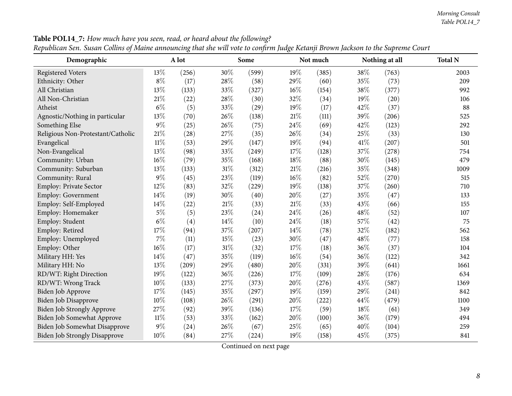#### *Morning Consult Table POL14\_7*

| Demographic                          |        | o<br>A lot |        | Some  |     | Not much |      | Nothing at all | <b>Total N</b> |
|--------------------------------------|--------|------------|--------|-------|-----|----------|------|----------------|----------------|
| <b>Registered Voters</b>             | 13%    | (256)      | 30%    | (599) | 19% | (385)    | 38%  | (763)          | 2003           |
| Ethnicity: Other                     | $8\%$  | (17)       | 28%    | (58)  | 29% | (60)     | 35%  | (73)           | 209            |
| All Christian                        | 13%    | (133)      | 33%    | (327) | 16% | (154)    | 38%  | (377)          | 992            |
| All Non-Christian                    | $21\%$ | (22)       | 28\%   | (30)  | 32% | (34)     | 19%  | (20)           | 106            |
| Atheist                              | $6\%$  | (5)        | 33%    | (29)  | 19% | (17)     | 42%  | (37)           | 88             |
| Agnostic/Nothing in particular       | 13%    | (70)       | 26%    | (138) | 21% | (111)    | 39%  | (206)          | 525            |
| Something Else                       | $9\%$  | (25)       | 26%    | (75)  | 24% | (69)     | 42%  | (123)          | 292            |
| Religious Non-Protestant/Catholic    | 21%    | (28)       | 27%    | (35)  | 26% | (34)     | 25%  | (33)           | 130            |
| Evangelical                          | $11\%$ | (53)       | 29%    | (147) | 19% | (94)     | 41%  | (207)          | 501            |
| Non-Evangelical                      | 13%    | (98)       | 33%    | (249) | 17% | (128)    | 37%  | (278)          | 754            |
| Community: Urban                     | 16%    | (79)       | 35%    | (168) | 18% | (88)     | 30%  | (145)          | 479            |
| Community: Suburban                  | 13%    | (133)      | 31%    | (312) | 21% | (216)    | 35%  | (348)          | 1009           |
| Community: Rural                     | 9%     | (45)       | 23%    | (119) | 16% | (82)     | 52%  | (270)          | 515            |
| <b>Employ: Private Sector</b>        | 12%    | (83)       | 32%    | (229) | 19% | (138)    | 37%  | (260)          | 710            |
| <b>Employ: Government</b>            | 14%    | (19)       | 30%    | (40)  | 20% | (27)     | 35%  | (47)           | 133            |
| Employ: Self-Employed                | 14%    | (22)       | $21\%$ | (33)  | 21% | (33)     | 43\% | (66)           | 155            |
| Employ: Homemaker                    | $5\%$  | (5)        | 23%    | (24)  | 24% | (26)     | 48%  | (52)           | 107            |
| Employ: Student                      | $6\%$  | (4)        | 14%    | (10)  | 24% | (18)     | 57%  | (42)           | 75             |
| Employ: Retired                      | 17%    | (94)       | 37%    | (207) | 14% | (78)     | 32%  | (182)          | 562            |
| Employ: Unemployed                   | 7%     | (11)       | 15%    | (23)  | 30% | (47)     | 48%  | (77)           | 158            |
| Employ: Other                        | 16%    | (17)       | $31\%$ | (32)  | 17% | (18)     | 36%  | (37)           | 104            |
| Military HH: Yes                     | 14%    | (47)       | 35%    | (119) | 16% | (54)     | 36%  | (122)          | 342            |
| Military HH: No                      | 13%    | (209)      | 29%    | (480) | 20% | (331)    | 39%  | (641)          | 1661           |
| RD/WT: Right Direction               | 19%    | (122)      | 36%    | (226) | 17% | (109)    | 28%  | (176)          | 634            |
| RD/WT: Wrong Track                   | 10%    | (133)      | 27%    | (373) | 20% | (276)    | 43%  | (587)          | 1369           |
| Biden Job Approve                    | 17%    | (145)      | 35%    | (297) | 19% | (159)    | 29%  | (241)          | 842            |
| <b>Biden Job Disapprove</b>          | 10%    | (108)      | 26%    | (291) | 20% | (222)    | 44%  | (479)          | 1100           |
| <b>Biden Job Strongly Approve</b>    | 27%    | (92)       | 39%    | (136) | 17% | (59)     | 18%  | (61)           | 349            |
| Biden Job Somewhat Approve           | $11\%$ | (53)       | 33%    | (162) | 20% | (100)    | 36%  | (179)          | 494            |
| Biden Job Somewhat Disapprove        | 9%     | $^{(24)}$  | 26%    | (67)  | 25% | (65)     | 40%  | (104)          | 259            |
| <b>Biden Job Strongly Disapprove</b> | 10%    | (84)       | 27%    | (224) | 19% | (158)    | 45%  | (375)          | 841            |

Table POL14\_7: How much have you seen, read, or heard about the following? Republican Sen. Susan Collins of Maine announcing that she will vote to confirm Judge Ketanji Brown Jackson to the Supreme Court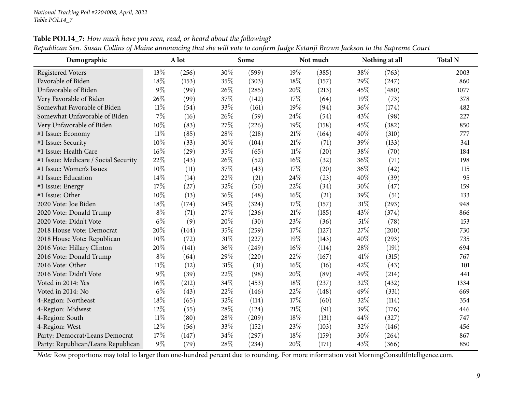| Demographic                          |        | A lot |        | Some  |        | Not much |      | Nothing at all | <b>Total N</b> |
|--------------------------------------|--------|-------|--------|-------|--------|----------|------|----------------|----------------|
| <b>Registered Voters</b>             | 13%    | (256) | 30%    | (599) | 19%    | (385)    | 38%  | (763)          | 2003           |
| Favorable of Biden                   | 18%    | (153) | 35%    | (303) | 18%    | (157)    | 29%  | (247)          | 860            |
| Unfavorable of Biden                 | $9\%$  | (99)  | 26%    | (285) | 20%    | (213)    | 45%  | (480)          | 1077           |
| Very Favorable of Biden              | 26%    | (99)  | 37%    | (142) | 17%    | (64)     | 19%  | (73)           | 378            |
| Somewhat Favorable of Biden          | $11\%$ | (54)  | 33%    | (161) | 19%    | (94)     | 36%  | (174)          | 482            |
| Somewhat Unfavorable of Biden        | $7\%$  | (16)  | 26%    | (59)  | 24%    | (54)     | 43%  | (98)           | 227            |
| Very Unfavorable of Biden            | $10\%$ | (83)  | 27%    | (226) | 19%    | (158)    | 45%  | (382)          | 850            |
| #1 Issue: Economy                    | $11\%$ | (85)  | 28%    | (218) | 21\%   | (164)    | 40%  | (310)          | 777            |
| #1 Issue: Security                   | 10%    | (33)  | 30%    | (104) | $21\%$ | (71)     | 39%  | (133)          | 341            |
| #1 Issue: Health Care                | $16\%$ | (29)  | 35%    | (65)  | $11\%$ | (20)     | 38%  | (70)           | 184            |
| #1 Issue: Medicare / Social Security | 22%    | (43)  | 26%    | (52)  | 16%    | (32)     | 36%  | (71)           | 198            |
| #1 Issue: Women's Issues             | $10\%$ | (11)  | 37%    | (43)  | 17%    | (20)     | 36%  | (42)           | 115            |
| #1 Issue: Education                  | 14%    | (14)  | 22%    | (21)  | 24%    | (23)     | 40%  | (39)           | 95             |
| #1 Issue: Energy                     | 17%    | (27)  | 32%    | (50)  | 22%    | (34)     | 30%  | (47)           | 159            |
| #1 Issue: Other                      | 10%    | (13)  | 36%    | (48)  | 16%    | (21)     | 39%  | (51)           | 133            |
| 2020 Vote: Joe Biden                 | 18%    | (174) | 34%    | (324) | 17%    | (157)    | 31%  | (293)          | 948            |
| 2020 Vote: Donald Trump              | $8\%$  | (71)  | 27%    | (236) | $21\%$ | (185)    | 43%  | (374)          | 866            |
| 2020 Vote: Didn't Vote               | $6\%$  | (9)   | $20\%$ | (30)  | 23%    | (36)     | 51%  | (78)           | 153            |
| 2018 House Vote: Democrat            | 20%    | (144) | 35%    | (259) | 17%    | (127)    | 27%  | (200)          | 730            |
| 2018 House Vote: Republican          | 10%    | (72)  | 31%    | (227) | 19%    | (143)    | 40%  | (293)          | 735            |
| 2016 Vote: Hillary Clinton           | 20%    | (141) | 36%    | (249) | 16%    | (114)    | 28%  | (191)          | 694            |
| 2016 Vote: Donald Trump              | $8\%$  | (64)  | 29%    | (220) | 22%    | (167)    | 41\% | (315)          | 767            |
| 2016 Vote: Other                     | $11\%$ | (12)  | 31%    | (31)  | $16\%$ | (16)     | 42%  | (43)           | 101            |
| 2016 Vote: Didn't Vote               | $9\%$  | (39)  | 22%    | (98)  | 20%    | (89)     | 49%  | (214)          | 441            |
| Voted in 2014: Yes                   | $16\%$ | (212) | 34%    | (453) | 18%    | (237)    | 32%  | (432)          | 1334           |
| Voted in 2014: No                    | $6\%$  | (43)  | 22%    | (146) | 22%    | (148)    | 49%  | (331)          | 669            |
| 4-Region: Northeast                  | 18%    | (65)  | 32%    | (114) | 17%    | (60)     | 32%  | (114)          | 354            |
| 4-Region: Midwest                    | 12%    | (55)  | 28%    | (124) | $21\%$ | (91)     | 39%  | (176)          | 446            |
| 4-Region: South                      | $11\%$ | (80)  | 28%    | (209) | 18%    | (131)    | 44%  | (327)          | 747            |
| 4-Region: West                       | 12%    | (56)  | 33%    | (152) | 23%    | (103)    | 32%  | (146)          | 456            |
| Party: Democrat/Leans Democrat       | 17%    | (147) | 34%    | (297) | 18%    | (159)    | 30%  | (264)          | 867            |
| Party: Republican/Leans Republican   | $9\%$  | (79)  | 28%    | (234) | 20%    | (171)    | 43%  | (366)          | 850            |

Table POL14\_7: How much have you seen, read, or heard about the following? Republican Sen. Susan Collins of Maine announcing that she will vote to confirm Judge Ketanji Brown Jackson to the Supreme Court

*Note:* Row proportions may total to larger than one-hundred percen<sup>t</sup> due to rounding. For more information visit [MorningConsultIntelligence.com](https://morningconsultintelligence.com).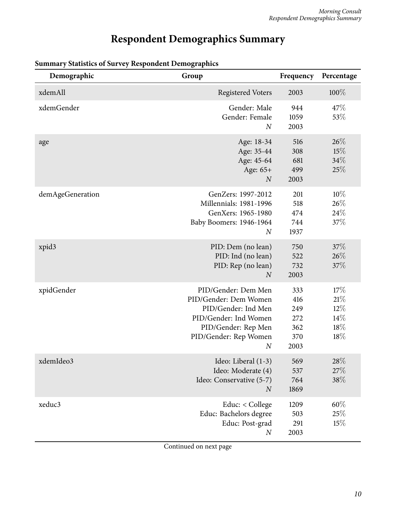# **Respondent Demographics Summary**

| Demographic      | Group                                                                                                                                                            | Frequency                                      | Percentage                                   |
|------------------|------------------------------------------------------------------------------------------------------------------------------------------------------------------|------------------------------------------------|----------------------------------------------|
| xdemAll          | <b>Registered Voters</b>                                                                                                                                         | 2003                                           | 100%                                         |
| xdemGender       | Gender: Male<br>Gender: Female<br>$\overline{N}$                                                                                                                 | 944<br>1059<br>2003                            | 47\%<br>53%                                  |
| age              | Age: 18-34<br>Age: 35-44<br>Age: 45-64<br>Age: 65+<br>$\boldsymbol{N}$                                                                                           | 516<br>308<br>681<br>499<br>2003               | 26%<br>15%<br>34%<br>25%                     |
| demAgeGeneration | GenZers: 1997-2012<br><b>Millennials: 1981-1996</b><br>GenXers: 1965-1980<br>Baby Boomers: 1946-1964<br>$\boldsymbol{N}$                                         | 201<br>518<br>474<br>744<br>1937               | 10%<br>26%<br>24\%<br>37%                    |
| xpid3            | PID: Dem (no lean)<br>PID: Ind (no lean)<br>PID: Rep (no lean)<br>$\overline{N}$                                                                                 | 750<br>522<br>732<br>2003                      | 37%<br>26\%<br>37%                           |
| xpidGender       | PID/Gender: Dem Men<br>PID/Gender: Dem Women<br>PID/Gender: Ind Men<br>PID/Gender: Ind Women<br>PID/Gender: Rep Men<br>PID/Gender: Rep Women<br>$\boldsymbol{N}$ | 333<br>416<br>249<br>272<br>362<br>370<br>2003 | 17%<br>21%<br>$12\%$<br>$14\%$<br>18%<br>18% |
| xdemIdeo3        | Ideo: Liberal (1-3)<br>Ideo: Moderate (4)<br>Ideo: Conservative (5-7)<br>$\boldsymbol{N}$                                                                        | 569<br>537<br>764<br>1869                      | $28\%$<br>27%<br>38\%                        |
| xeduc3           | Educ: < College<br>Educ: Bachelors degree<br>Educ: Post-grad<br>$\boldsymbol{N}$                                                                                 | 1209<br>503<br>291<br>2003                     | $60\%$<br>25%<br>15%                         |

#### <span id="page-9-0"></span>**Summary Statistics of Survey Respondent Demographics**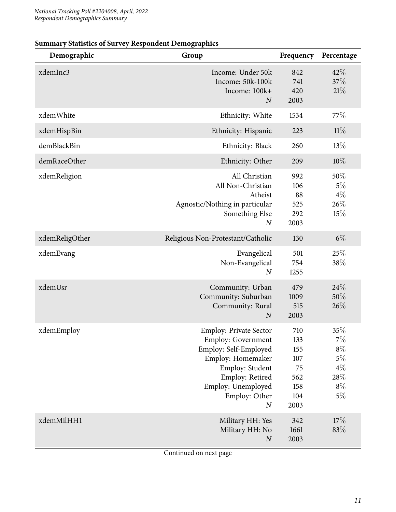| Demographic    | Group                                                                                                                                                                                                     | Frequency                                                   | Percentage                                                       |
|----------------|-----------------------------------------------------------------------------------------------------------------------------------------------------------------------------------------------------------|-------------------------------------------------------------|------------------------------------------------------------------|
| xdemInc3       | Income: Under 50k<br>Income: 50k-100k<br>Income: 100k+<br>$\overline{N}$                                                                                                                                  | 842<br>741<br>420<br>2003                                   | 42%<br>37%<br>21%                                                |
| xdemWhite      | Ethnicity: White                                                                                                                                                                                          | 1534                                                        | 77\%                                                             |
| xdemHispBin    | Ethnicity: Hispanic                                                                                                                                                                                       | 223                                                         | 11%                                                              |
| demBlackBin    | Ethnicity: Black                                                                                                                                                                                          | 260                                                         | 13%                                                              |
| demRaceOther   | Ethnicity: Other                                                                                                                                                                                          | 209                                                         | $10\%$                                                           |
| xdemReligion   | All Christian<br>All Non-Christian<br>Atheist<br>Agnostic/Nothing in particular<br>Something Else<br>$\boldsymbol{N}$                                                                                     | 992<br>106<br>88<br>525<br>292<br>2003                      | 50%<br>$5\%$<br>$4\%$<br>26%<br>15%                              |
| xdemReligOther | Religious Non-Protestant/Catholic                                                                                                                                                                         | 130                                                         | $6\%$                                                            |
| xdemEvang      | Evangelical<br>Non-Evangelical<br>$\boldsymbol{N}$                                                                                                                                                        | 501<br>754<br>1255                                          | 25%<br>38%                                                       |
| xdemUsr        | Community: Urban<br>Community: Suburban<br>Community: Rural<br>$\overline{N}$                                                                                                                             | 479<br>1009<br>515<br>2003                                  | 24%<br>50%<br>26%                                                |
| xdemEmploy     | <b>Employ: Private Sector</b><br><b>Employ: Government</b><br>Employ: Self-Employed<br>Employ: Homemaker<br>Employ: Student<br>Employ: Retired<br>Employ: Unemployed<br>Employ: Other<br>$\boldsymbol{N}$ | 710<br>133<br>155<br>107<br>75<br>562<br>158<br>104<br>2003 | 35%<br>$7\%$<br>$8\%$<br>$5\%$<br>$4\%$<br>28%<br>$8\%$<br>$5\%$ |
| xdemMilHH1     | Military HH: Yes<br>Military HH: No<br>$\cal N$                                                                                                                                                           | 342<br>1661<br>2003                                         | 17%<br>83%                                                       |

#### **Summary Statistics of Survey Respondent Demographics**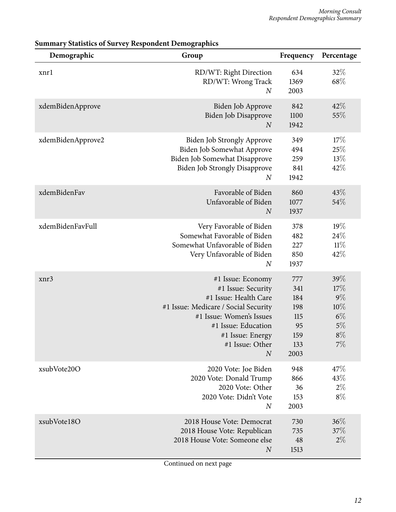| Demographic       | Group                                                                                                                                                                                                                  | Frequency                                                   | Percentage                                                  |
|-------------------|------------------------------------------------------------------------------------------------------------------------------------------------------------------------------------------------------------------------|-------------------------------------------------------------|-------------------------------------------------------------|
| xnrl              | RD/WT: Right Direction<br>RD/WT: Wrong Track<br>$\boldsymbol{N}$                                                                                                                                                       | 634<br>1369<br>2003                                         | 32%<br>68\%                                                 |
| xdemBidenApprove  | Biden Job Approve<br>Biden Job Disapprove<br>$\boldsymbol{N}$                                                                                                                                                          | 842<br>1100<br>1942                                         | 42%<br>55%                                                  |
| xdemBidenApprove2 | <b>Biden Job Strongly Approve</b><br>Biden Job Somewhat Approve<br>Biden Job Somewhat Disapprove<br><b>Biden Job Strongly Disapprove</b><br>$\boldsymbol{N}$                                                           | 349<br>494<br>259<br>841<br>1942                            | 17%<br>25%<br>13%<br>42%                                    |
| xdemBidenFav      | Favorable of Biden<br>Unfavorable of Biden<br>$\overline{N}$                                                                                                                                                           | 860<br>1077<br>1937                                         | 43\%<br>54%                                                 |
| xdemBidenFavFull  | Very Favorable of Biden<br>Somewhat Favorable of Biden<br>Somewhat Unfavorable of Biden<br>Very Unfavorable of Biden<br>$\boldsymbol{N}$                                                                               | 378<br>482<br>227<br>850<br>1937                            | 19%<br>24\%<br>$11\%$<br>42%                                |
| xnr3              | #1 Issue: Economy<br>#1 Issue: Security<br>#1 Issue: Health Care<br>#1 Issue: Medicare / Social Security<br>#1 Issue: Women's Issues<br>#1 Issue: Education<br>#1 Issue: Energy<br>#1 Issue: Other<br>$\boldsymbol{N}$ | 777<br>341<br>184<br>198<br>115<br>95<br>159<br>133<br>2003 | 39%<br>17%<br>$9\%$<br>10%<br>$6\%$<br>$5\%$<br>$8\%$<br>7% |
| xsubVote20O       | 2020 Vote: Joe Biden<br>2020 Vote: Donald Trump<br>2020 Vote: Other<br>2020 Vote: Didn't Vote<br>$\overline{N}$                                                                                                        | 948<br>866<br>36<br>153<br>2003                             | 47\%<br>43%<br>$2\%$<br>$8\%$                               |
| xsubVote18O       | 2018 House Vote: Democrat<br>2018 House Vote: Republican<br>2018 House Vote: Someone else<br>$\overline{N}$                                                                                                            | 730<br>735<br>48<br>1513                                    | 36%<br>37%<br>$2\%$                                         |

#### **Summary Statistics of Survey Respondent Demographics**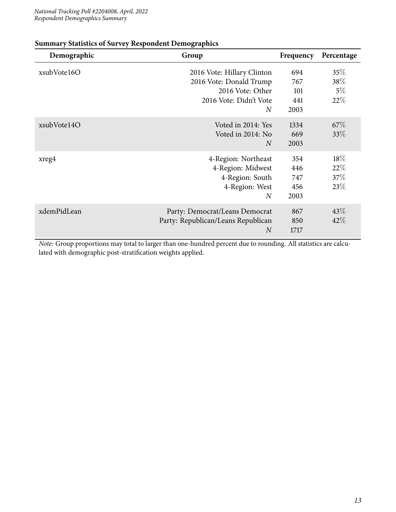| Demographic | Group                                                                                                    | Frequency                        | Percentage                  |
|-------------|----------------------------------------------------------------------------------------------------------|----------------------------------|-----------------------------|
| xsubVote16O | 2016 Vote: Hillary Clinton<br>2016 Vote: Donald Trump<br>2016 Vote: Other<br>2016 Vote: Didn't Vote<br>N | 694<br>767<br>101<br>441<br>2003 | 35%<br>38\%<br>$5\%$<br>22% |
| xsubVote14O | Voted in 2014: Yes<br>Voted in 2014: No<br>$\overline{N}$                                                | 1334<br>669<br>2003              | $67\%$<br>$33\%$            |
| xreg4       | 4-Region: Northeast<br>4-Region: Midwest<br>4-Region: South<br>4-Region: West<br>$\overline{N}$          | 354<br>446<br>747<br>456<br>2003 | 18\%<br>22\%<br>37\%<br>23% |
| xdemPidLean | Party: Democrat/Leans Democrat<br>Party: Republican/Leans Republican<br>$\overline{N}$                   | 867<br>850<br>1717               | $43\%$<br>42%               |

#### **Summary Statistics of Survey Respondent Demographics**

*Note:* Group proportions may total to larger than one-hundred percent due to rounding. All statistics are calculated with demographic post-stratification weights applied.